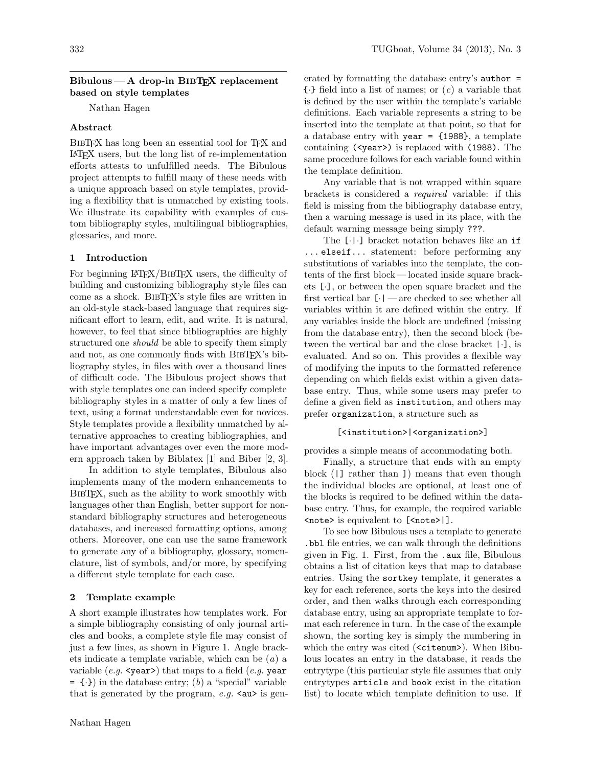## $Bibulous - A drop-in BIBTrX replacement$ based on style templates

Nathan Hagen

# Abstract

BIBTEX has long been an essential tool for TEX and LATEX users, but the long list of re-implementation efforts attests to unfulfilled needs. The Bibulous project attempts to fulfill many of these needs with a unique approach based on style templates, providing a flexibility that is unmatched by existing tools. We illustrate its capability with examples of custom bibliography styles, multilingual bibliographies, glossaries, and more.

### 1 Introduction

For beginning LAT<sub>EX</sub>/BIBT<sub>EX</sub> users, the difficulty of building and customizing bibliography style files can come as a shock. BibTEX's style files are written in an old-style stack-based language that requires significant effort to learn, edit, and write. It is natural, however, to feel that since bibliographies are highly structured one *should* be able to specify them simply and not, as one commonly finds with BIBT<sub>EX</sub>'s bibliography styles, in files with over a thousand lines of difficult code. The Bibulous project shows that with style templates one can indeed specify complete bibliography styles in a matter of only a few lines of text, using a format understandable even for novices. Style templates provide a flexibility unmatched by alternative approaches to creating bibliographies, and have important advantages over even the more modern approach taken by Biblatex [1] and Biber [2, 3].

In addition to style templates, Bibulous also implements many of the modern enhancements to BIBTEX, such as the ability to work smoothly with languages other than English, better support for nonstandard bibliography structures and heterogeneous databases, and increased formatting options, among others. Moreover, one can use the same framework to generate any of a bibliography, glossary, nomenclature, list of symbols, and/or more, by specifying a different style template for each case.

#### 2 Template example

A short example illustrates how templates work. For a simple bibliography consisting of only journal articles and books, a complete style file may consist of just a few lines, as shown in Figure 1. Angle brackets indicate a template variable, which can be (a) a variable (e.g.  $\langle$ year>) that maps to a field (e.g. year  $= \{\cdot\})$  in the database entry; (b) a "special" variable that is generated by the program,  $e.g. \text{ au> is gen-}$ 

erated by formatting the database entry's  $a$ uthor =  $\{\cdot\}$  field into a list of names; or  $(c)$  a variable that is defined by the user within the template's variable definitions. Each variable represents a string to be inserted into the template at that point, so that for a database entry with year  $=$  {1988}, a template containing (<year>) is replaced with (1988). The same procedure follows for each variable found within the template definition.

Any variable that is not wrapped within square brackets is considered a required variable: if this field is missing from the bibliography database entry, then a warning message is used in its place, with the default warning message being simply ???.

The [·|·] bracket notation behaves like an if ... elseif... statement: before performing any substitutions of variables into the template, the contents of the first block — located inside square brackets [·], or between the open square bracket and the first vertical bar  $\lceil \cdot \rceil$  — are checked to see whether all variables within it are defined within the entry. If any variables inside the block are undefined (missing from the database entry), then the second block (between the vertical bar and the close bracket |·], is evaluated. And so on. This provides a flexible way of modifying the inputs to the formatted reference depending on which fields exist within a given database entry. Thus, while some users may prefer to define a given field as institution, and others may prefer organization, a structure such as

## [<institution>|<organization>]

provides a simple means of accommodating both.

Finally, a structure that ends with an empty block (|] rather than ]) means that even though the individual blocks are optional, at least one of the blocks is required to be defined within the database entry. Thus, for example, the required variable <note> is equivalent to [<note>|].

To see how Bibulous uses a template to generate .bbl file entries, we can walk through the definitions given in Fig. 1. First, from the .aux file, Bibulous obtains a list of citation keys that map to database entries. Using the sortkey template, it generates a key for each reference, sorts the keys into the desired order, and then walks through each corresponding database entry, using an appropriate template to format each reference in turn. In the case of the example shown, the sorting key is simply the numbering in which the entry was cited (<citenum>). When Bibulous locates an entry in the database, it reads the entrytype (this particular style file assumes that only entrytypes article and book exist in the citation list) to locate which template definition to use. If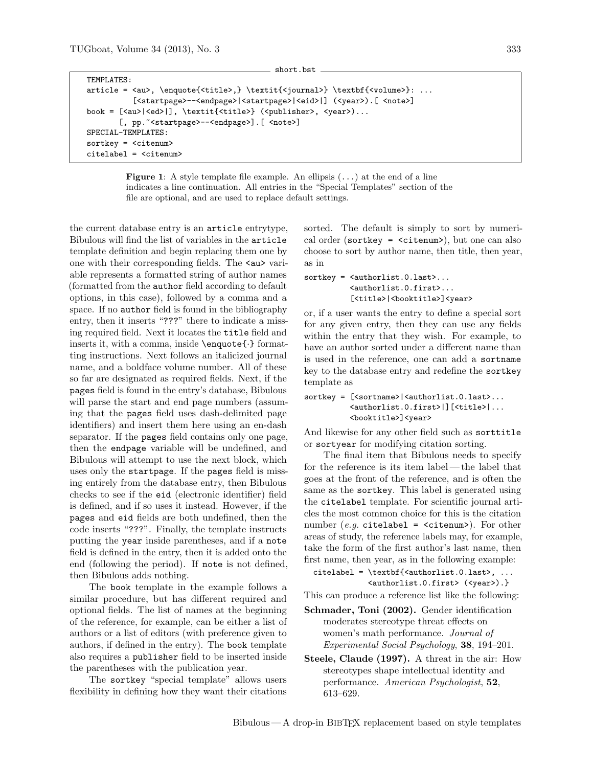```
short.bst
TEMPLATES:
article = <au>, \enquote{<title>,} \textit{<journal>} \textbf{<volume>}: ...
          [<startpage>--<endpage>|<startpage>|<eid>|] (<year>).[<note>]
book = [<au>|<ed>|], \textit{<title>} (<publisher>, <year>)...
       [, pp.~<startpage>--<endpage>]. [<note>]
SPECIAL-TEMPLATES:
sortkey = <citenum>
citelabel = <citenum>
```
Figure 1: A style template file example. An ellipsis  $(\ldots)$  at the end of a line indicates a line continuation. All entries in the "Special Templates" section of the file are optional, and are used to replace default settings.

the current database entry is an article entrytype, Bibulous will find the list of variables in the article template definition and begin replacing them one by one with their corresponding fields. The <au> variable represents a formatted string of author names (formatted from the author field according to default options, in this case), followed by a comma and a space. If no author field is found in the bibliography entry, then it inserts "???" there to indicate a missing required field. Next it locates the title field and inserts it, with a comma, inside \enquote{·} formatting instructions. Next follows an italicized journal name, and a boldface volume number. All of these so far are designated as required fields. Next, if the pages field is found in the entry's database, Bibulous will parse the start and end page numbers (assuming that the pages field uses dash-delimited page identifiers) and insert them here using an en-dash separator. If the pages field contains only one page, then the endpage variable will be undefined, and Bibulous will attempt to use the next block, which uses only the startpage. If the pages field is missing entirely from the database entry, then Bibulous checks to see if the eid (electronic identifier) field is defined, and if so uses it instead. However, if the pages and eid fields are both undefined, then the code inserts "???". Finally, the template instructs putting the year inside parentheses, and if a note field is defined in the entry, then it is added onto the end (following the period). If note is not defined, then Bibulous adds nothing.

The book template in the example follows a similar procedure, but has different required and optional fields. The list of names at the beginning of the reference, for example, can be either a list of authors or a list of editors (with preference given to authors, if defined in the entry). The book template also requires a publisher field to be inserted inside the parentheses with the publication year.

The sortkey "special template" allows users flexibility in defining how they want their citations

sorted. The default is simply to sort by numerical order (sortkey =  $\langle$ citenum>), but one can also choose to sort by author name, then title, then year, as in

```
sortkey = <authorlist.0.last>...
          <authorlist.0.first>...
          [<title>|<br/>booktitle>]<year>
```
or, if a user wants the entry to define a special sort for any given entry, then they can use any fields within the entry that they wish. For example, to have an author sorted under a different name than is used in the reference, one can add a sortname key to the database entry and redefine the sortkey template as

```
sortkey = [<sortname>|<authorlist.0.last>...
          <authorlist.0.first>|][<title>|...
          <booktitle>]<year>
```
And likewise for any other field such as sorttitle or sortyear for modifying citation sorting.

The final item that Bibulous needs to specify for the reference is its item label— the label that goes at the front of the reference, and is often the same as the sortkey. This label is generated using the citelabel template. For scientific journal articles the most common choice for this is the citation number (*e.g.* citelabel =  $\leq$ citenum>). For other areas of study, the reference labels may, for example, take the form of the first author's last name, then first name, then year, as in the following example:

```
citelabel = \textbf{<} \textbf{+} \cdot 0. last, ...
             <authorlist.0.first> (<year>).}
```
This can produce a reference list like the following:

- Schmader, Toni (2002). Gender identification moderates stereotype threat effects on women's math performance. Journal of Experimental Social Psychology, 38, 194–201.
- Steele, Claude (1997). A threat in the air: How stereotypes shape intellectual identity and performance. American Psychologist, 52, 613–629.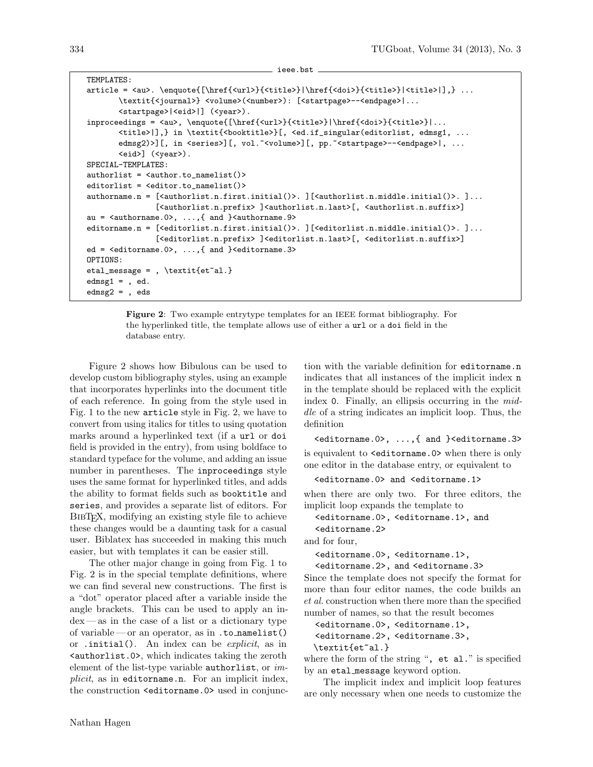```
TEMPLATES:
article = <au>. \enquote{[\href{<url>}{<title>}|\href{<doi>}{<title>}|<title>}],} ...
       \textit{<journal>} <volume>(<number>): [<startpage>--<endpage>|...
       <startpage>|<eid>|] (<year>).
inproceedings = <au>, \enquote{[\href{<url>}{<title>}|\href{<doi>}{<title>}|...
       <title>|],} in \textit{<booktitle>}[, <ed.if_singular(editorlist, edmsg1, ...
       edmsg2)>][, in <series>][, vol. ~<volume>][, pp. ~<startpage>--<endpage>|, ...
       <eid>] (<year>).
SPECIAL-TEMPLATES:
authorlist = <author.to_namelist()>
editorlist = <editor.to_namelist()>
authorname.n = [<authorlist.n.first.initial()>. ][<authorlist.n.middle.initial()>. ]...
               [<authorlist.n.prefix> ]<authorlist.n.last>[, <authorlist.n.suffix>]
au = \langleauthorname.0>, ...,\{\text{and }}\langleauthorname.9>
editorname.n = [<editorlist.n.first.initial()>. ][<editorlist.n.middle.initial()>. ]...
               [<editorlist.n.prefix> ]<editorlist.n.last>[, <editorlist.n.suffix>]
ed = <editorname.0>, ...,{ and }<editorname.3>
OPTIONS:
etal_message = , \textit{et~al.}
edmsg1 =, ed.
edmsg2 = , eds
```
ieee.bst

Figure 2: Two example entrytype templates for an IEEE format bibliography. For the hyperlinked title, the template allows use of either a url or a doi field in the database entry.

Figure 2 shows how Bibulous can be used to develop custom bibliography styles, using an example that incorporates hyperlinks into the document title of each reference. In going from the style used in Fig. 1 to the new article style in Fig. 2, we have to convert from using italics for titles to using quotation marks around a hyperlinked text (if a url or doi field is provided in the entry), from using boldface to standard typeface for the volume, and adding an issue number in parentheses. The inproceedings style uses the same format for hyperlinked titles, and adds the ability to format fields such as booktitle and series, and provides a separate list of editors. For BibTEX, modifying an existing style file to achieve these changes would be a daunting task for a casual user. Biblatex has succeeded in making this much easier, but with templates it can be easier still.

The other major change in going from Fig. 1 to Fig. 2 is in the special template definitions, where we can find several new constructions. The first is a "dot" operator placed after a variable inside the angle brackets. This can be used to apply an index— as in the case of a list or a dictionary type of variable— or an operator, as in .to namelist() or .initial(). An index can be explicit, as in <authorlist.0>, which indicates taking the zeroth element of the list-type variable authorlist, or implicit, as in editorname.n. For an implicit index, the construction <editorname.0> used in conjunction with the variable definition for editorname.n indicates that all instances of the implicit index n in the template should be replaced with the explicit index 0. Finally, an ellipsis occurring in the middle of a string indicates an implicit loop. Thus, the definition

<editorname.0>, ...,{ and }<editorname.3> is equivalent to <editorname.0> when there is only one editor in the database entry, or equivalent to

```
<editorname.0> and <editorname.1>
```
when there are only two. For three editors, the implicit loop expands the template to

```
<editorname.0>, <editorname.1>, and
<editorname.2>
```
and for four,

<editorname.0>, <editorname.1>,

<editorname.2>, and <editorname.3>

Since the template does not specify the format for more than four editor names, the code builds an et al. construction when there more than the specified number of names, so that the result becomes

```
<editorname.0>, <editorname.1>,
<editorname.2>, <editorname.3>,
\textit{et~al.}
```
where the form of the string ", et al." is specified by an etal message keyword option.

The implicit index and implicit loop features are only necessary when one needs to customize the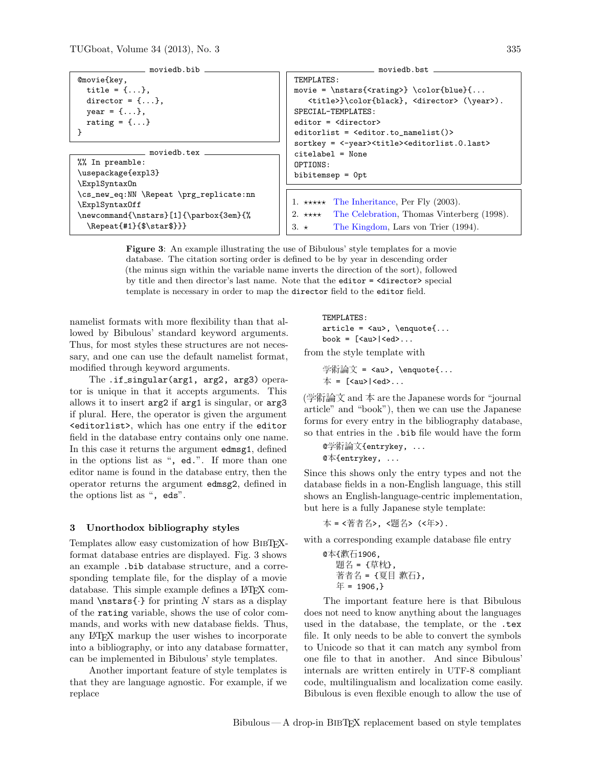| ______ moviedb.bib _______              |                                                                                                                                                                                                                                                                   |  |  |
|-----------------------------------------|-------------------------------------------------------------------------------------------------------------------------------------------------------------------------------------------------------------------------------------------------------------------|--|--|
| $@movie{key,}$                          | TEMPLATES:                                                                                                                                                                                                                                                        |  |  |
| title = $\{ \ldots \},\$                | movie = $\n$ stars{ <rating>} \color{blue}{</rating>                                                                                                                                                                                                              |  |  |
| director = $\{ \ldots \}$ ,             | <title>}\color{black}, <director> (\year&gt;).</director></title>                                                                                                                                                                                                 |  |  |
| $year = {},$                            | SPECIAL-TEMPLATES:                                                                                                                                                                                                                                                |  |  |
| rating = $\{ \ldots \}$                 | $editor = \langle director \rangle$                                                                                                                                                                                                                               |  |  |
|                                         | editorlist = $\leq$ $\leq$ $\leq$ $\leq$ $\leq$ $\leq$ $\leq$ $\leq$ $\leq$ $\leq$ $\leq$ $\leq$ $\leq$ $\leq$ $\leq$ $\leq$ $\leq$ $\leq$ $\leq$ $\leq$ $\leq$ $\leq$ $\leq$ $\leq$ $\leq$ $\leq$ $\leq$ $\leq$ $\leq$ $\leq$ $\leq$ $\leq$ $\leq$ $\leq$ $\leq$ |  |  |
|                                         | sortkey = <-year> <title><editorlist.0.last></editorlist.0.last></title>                                                                                                                                                                                          |  |  |
| ___ moviedb.tex _____                   | $citelabel = None$                                                                                                                                                                                                                                                |  |  |
| %% In preamble:                         | OPTIONS:                                                                                                                                                                                                                                                          |  |  |
| \usepackage{expl3}                      | $bibitemsep = 0pt$                                                                                                                                                                                                                                                |  |  |
| \ExplSyntax0n                           |                                                                                                                                                                                                                                                                   |  |  |
| \cs_new_eq:NN \Repeat \prg_replicate:nn |                                                                                                                                                                                                                                                                   |  |  |
| \ExplSyntax0ff                          | 1. ***** The Inheritance, Per Fly $(2003)$ .                                                                                                                                                                                                                      |  |  |
| \newcommand{\nstars}[1]{\parbox{3em}{%  | 2. **** The Celebration, Thomas Vinterberg (1998).                                                                                                                                                                                                                |  |  |
| $\Re\text{#1}$ {\$\star\$}}}            | The Kingdom, Lars von Trier (1994).<br>$3. \star$                                                                                                                                                                                                                 |  |  |
|                                         |                                                                                                                                                                                                                                                                   |  |  |

Figure 3: An example illustrating the use of Bibulous' style templates for a movie database. The citation sorting order is defined to be by year in descending order (the minus sign within the variable name inverts the direction of the sort), followed by title and then director's last name. Note that the editor = <director> special template is necessary in order to map the director field to the editor field.

namelist formats with more flexibility than that allowed by Bibulous' standard keyword arguments. Thus, for most styles these structures are not necessary, and one can use the default namelist format, modified through keyword arguments.

The .if\_singular(arg1, arg2, arg3) operator is unique in that it accepts arguments. This allows it to insert arg2 if arg1 is singular, or arg3 if plural. Here, the operator is given the argument <editorlist>, which has one entry if the editor field in the database entry contains only one name. In this case it returns the argument edmsg1, defined in the options list as ", ed.". If more than one editor name is found in the database entry, then the operator returns the argument edmsg2, defined in the options list as ", eds".

#### 3 Unorthodox bibliography styles

Templates allow easy customization of how BIBTFXformat database entries are displayed. Fig. 3 shows an example .bib database structure, and a corresponding template file, for the display of a movie database. This simple example defines a L<sup>AT</sup>EX command  $\nabla$ stars $\{\cdot\}$  for printing N stars as a display of the rating variable, shows the use of color commands, and works with new database fields. Thus, any LATEX markup the user wishes to incorporate into a bibliography, or into any database formatter, can be implemented in Bibulous' style templates.

Another important feature of style templates is that they are language agnostic. For example, if we replace

TEMPLATES: article = <au>, \enquote{... book = [<au>|<ed>...

from the style template with

学術論文 = <au>, \enquote{...  $\pm$  =  $\lceil$  <au >  $\rceil$  <ed >...

(学術論文 and 本 are the Japanese words for "journal article" and "book"), then we can use the Japanese forms for every entry in the bibliography database, so that entries in the .bib file would have the form

```
@学術論文{entrykey, ...
@本{entrykey, ...
```
Since this shows only the entry types and not the database fields in a non-English language, this still shows an English-language-centric implementation, but here is a fully Japanese style template:

本 = <著者名>, <題名> (<年>).

with a corresponding example database file entry

```
@本{漱石1906,
  題名 = {草枕},
  著者名 = {夏目 漱石},
  4 = 1906,}
```
The important feature here is that Bibulous does not need to know anything about the languages used in the database, the template, or the .tex file. It only needs to be able to convert the symbols to Unicode so that it can match any symbol from one file to that in another. And since Bibulous' internals are written entirely in UTF-8 compliant code, multilingualism and localization come easily. Bibulous is even flexible enough to allow the use of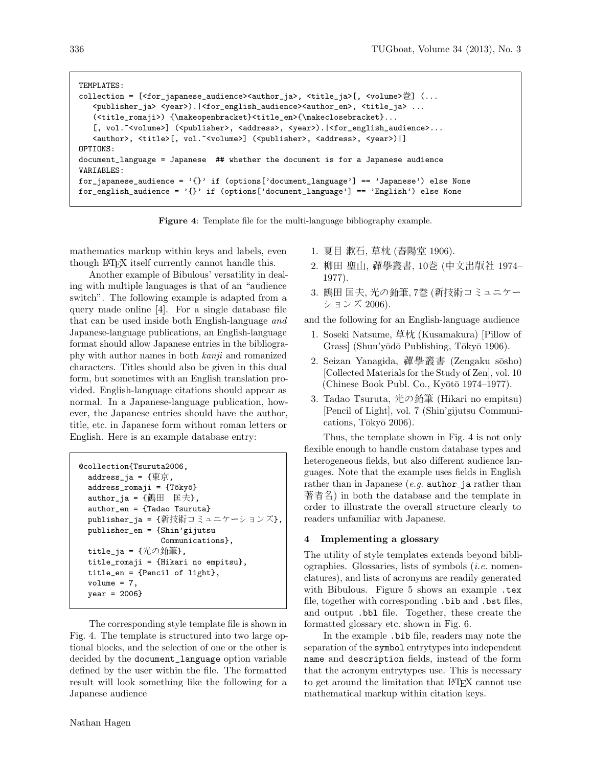```
TEMPLATES:
collection = [<for_japanese_audience><author_ja>, <title_ja>[, <volume>巻] (...
   <publisher_ja> <year>).|<for_english_audience><author_en>, <title_ja> ...
   (<title_romaji>) {\makeopenbracket}<title_en>{\makeclosebracket}...
   [, vol.~<volume>] (<publisher>, <address>, <year>).|<for_english_audience>...
   <author>, <title>[, vol.~<volume>] (<publisher>, <address>, <year>)|]
OPTIONS:
document_language = Japanese ## whether the document is for a Japanese audience
VARIABLES:
for_japanese_audience = '{}' if (options['document_language'] == 'Japanese') else None
for\_english\_audience = '{}' if (options['document_language'] == 'English') else None
```
Figure 4: Template file for the multi-language bibliography example.

mathematics markup within keys and labels, even though LATEX itself currently cannot handle this.

Another example of Bibulous' versatility in dealing with multiple languages is that of an "audience switch". The following example is adapted from a query made online [4]. For a single database file that can be used inside both English-language and Japanese-language publications, an English-language format should allow Japanese entries in the bibliography with author names in both kanji and romanized characters. Titles should also be given in this dual form, but sometimes with an English translation provided. English-language citations should appear as normal. In a Japanese-language publication, however, the Japanese entries should have the author, title, etc. in Japanese form without roman letters or English. Here is an example database entry:

```
@collection{Tsuruta2006,
 address_ja = {東京,
 address_romaji = {Tōkyō}
 author_ja = \{\angle\{m} \Box\} 匡夫 },
 author_en = {Tadao Tsuruta}
 publisher_ja = {新技術コミュニケーションズ},
 publisher_en = {Shin'gijutsu
                 Communications},
 title_ja = {光の鉛筆},
 title_romaji = {Hikari no empitsu},
 title_en = {Pencil of light},
 volume = 7,
 year = 2006}
```
The corresponding style template file is shown in Fig. 4. The template is structured into two large optional blocks, and the selection of one or the other is decided by the document\_language option variable defined by the user within the file. The formatted result will look something like the following for a Japanese audience

- 1. 夏目 漱石, 草枕 (春陽堂 1906).
- 2. 柳田 聖山, 禪學叢書, 10巻 (中文出版社 1974– 1977).
- 3. 鶴田 匡夫, 光の鉛筆, 7巻 (新技術コミュニケー ションズ 2006).

and the following for an English-language audience

- 1. Soseki Natsume, 草枕 (Kusamakura) [Pillow of Grass] (Shun'yōdō Publishing, Tōkyō 1906).
- 2. Seizan Yanagida, 禪學叢書 (Zengaku sōsho) [Collected Materials for the Study of Zen], vol. 10 (Chinese Book Publ. Co., Kyōtō 1974–1977).
- 3. Tadao Tsuruta, 光の鉛筆 (Hikari no empitsu) [Pencil of Light], vol. 7 (Shin'gijutsu Communications, Tōkyō  $2006$ ).

Thus, the template shown in Fig. 4 is not only flexible enough to handle custom database types and heterogeneous fields, but also different audience languages. Note that the example uses fields in English rather than in Japanese  $(e.g.$  author ja rather than 著者名) in both the database and the template in order to illustrate the overall structure clearly to readers unfamiliar with Japanese.

### 4 Implementing a glossary

The utility of style templates extends beyond bibliographies. Glossaries, lists of symbols (i.e. nomenclatures), and lists of acronyms are readily generated with Bibulous. Figure 5 shows an example .tex file, together with corresponding .bib and .bst files, and output .bbl file. Together, these create the formatted glossary etc. shown in Fig. 6.

In the example .bib file, readers may note the separation of the symbol entrytypes into independent name and description fields, instead of the form that the acronym entrytypes use. This is necessary to get around the limitation that LATEX cannot use mathematical markup within citation keys.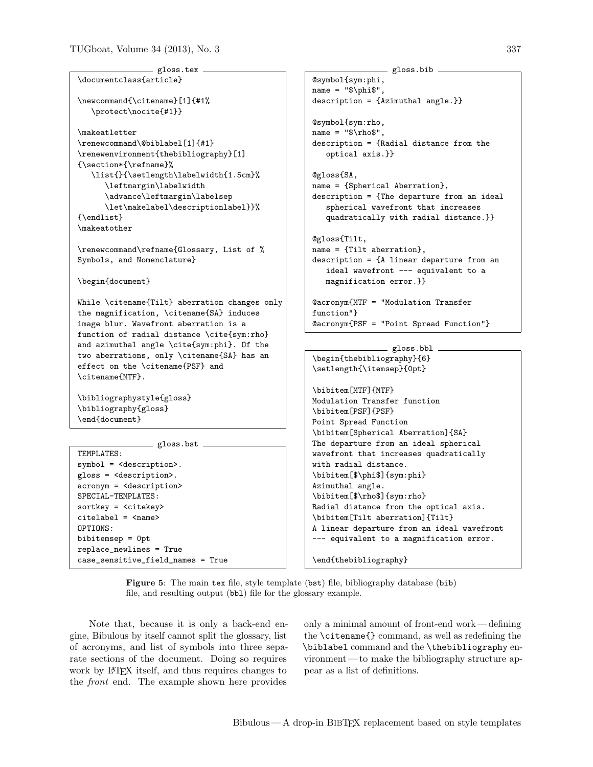```
- gloss.tex -
\documentclass{article}
\newcommand{\citename}[1]{#1%
   \protect\nocite{#1}}
\makeatletter
\renewcommand\@biblabel[1]{#1}
\renewenvironment{thebibliography}[1]
{\section*{\refname}%
   \list{}{\setlength\labelwidth{1.5cm}%
      \leftmargin\labelwidth
      \advance\leftmargin\labelsep
      \let\makelabel\descriptionlabel}}%
{\endlist}
\makeatother
\renewcommand\refname{Glossary, List of %
Symbols, and Nomenclature}
\begin{document}
While \citename{Tilt} aberration changes only
the magnification, \citename{SA} induces
image blur. Wavefront aberration is a
function of radial distance \cite{sym:rho}
and azimuthal angle \cite{sym:phi}. Of the
two aberrations, only \citename{SA} has an
effect on the \citename{PSF} and
\citename{MTF}.
\bibliographystyle{gloss}
\bibliography{gloss}
\end{document}
               = gloss.bst =TEMPLATES:
symbol = <description>.
gloss = <description>.
acronym = <description>
SPECIAL-TEMPLATES:
sortkey = <citekey>
citelabel = <name>
OPTIONS:
bibitemsep = 0pt
replace_newlines = True
                                                    @symbol{sym:phi,
                                                    name = "\$ \phi;
                                                    @gloss{SA,
                                                    @gloss{Tilt,
                                                    function"}
```
description = {Azimuthal angle.}} @symbol{sym:rho,  $name = "\$ rho\$", description = {Radial distance from the optical axis.}} name = {Spherical Aberration}, description = {The departure from an ideal spherical wavefront that increases quadratically with radial distance.}} name = {Tilt aberration}, description = {A linear departure from an ideal wavefront --- equivalent to a magnification error.}} @acronym{MTF = "Modulation Transfer @acronym{PSF = "Point Spread Function"}

- gloss.bib -

```
gloss.bbl
\begin{thebibliography}{6}
\setlength{\itemsep}{0pt}
\bibitem[MTF]{MTF}
Modulation Transfer function
\bibitem[PSF]{PSF}
Point Spread Function
\bibitem[Spherical Aberration]{SA}
The departure from an ideal spherical
wavefront that increases quadratically
with radial distance.
\bibitem[$\phi$]{sym:phi}
Azimuthal angle.
\bibitem[$\rho$]{sym:rho}
Radial distance from the optical axis.
\bibitem[Tilt aberration]{Tilt}
A linear departure from an ideal wavefront
--- equivalent to a magnification error.
```
Figure 5: The main tex file, style template (bst) file, bibliography database (bib) file, and resulting output (bbl) file for the glossary example.

Note that, because it is only a back-end engine, Bibulous by itself cannot split the glossary, list of acronyms, and list of symbols into three separate sections of the document. Doing so requires work by L<sup>A</sup>T<sub>E</sub>X itself, and thus requires changes to the front end. The example shown here provides

case\_sensitive\_field\_names = True

only a minimal amount of front-end work — defining the \citename{} command, as well as redefining the \biblabel command and the \thebibliography environment — to make the bibliography structure appear as a list of definitions.

\end{thebibliography}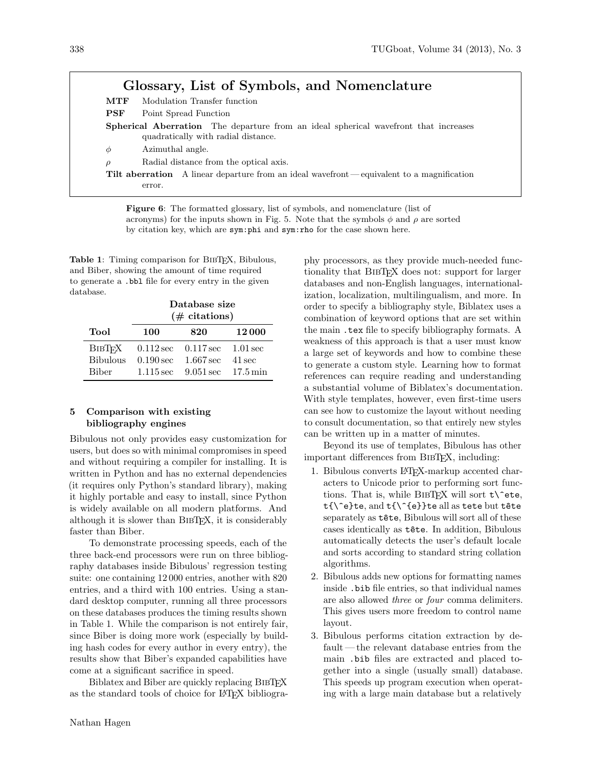# Glossary, List of Symbols, and Nomenclature

| MTF    | Modulation Transfer function                                                                                                      |  |  |  |  |
|--------|-----------------------------------------------------------------------------------------------------------------------------------|--|--|--|--|
| PSF    | Point Spread Function                                                                                                             |  |  |  |  |
|        | <b>Spherical Aberration</b> The departure from an ideal spherical wavefront that increases<br>quadratically with radial distance. |  |  |  |  |
| Φ      | Azimuthal angle.                                                                                                                  |  |  |  |  |
| $\rho$ | Radial distance from the optical axis.                                                                                            |  |  |  |  |
|        | <b>Tilt aberration</b> A linear departure from an ideal wavefront—equivalent to a magnification<br>error.                         |  |  |  |  |

Figure 6: The formatted glossary, list of symbols, and nomenclature (list of acronyms) for the inputs shown in Fig. 5. Note that the symbols  $\phi$  and  $\rho$  are sorted by citation key, which are sym:phi and sym:rho for the case shown here.

Table 1: Timing comparison for BIBTEX, Bibulous, and Biber, showing the amount of time required to generate a .bbl file for every entry in the given database.

|                                                  | Database size<br>$(\#$ citations) |                                                                                                                                                 |                  |  |
|--------------------------------------------------|-----------------------------------|-------------------------------------------------------------------------------------------------------------------------------------------------|------------------|--|
| Tool                                             | 100                               | 820                                                                                                                                             | 12000            |  |
| <b>BIBTFX</b><br><b>Bibulous</b><br><b>Biber</b> |                                   | $0.112 \sec 0.117 \sec 1.01 \sec$<br>$0.190 \,\text{sec} = 1.667 \,\text{sec}$<br>$1.115 \,\text{sec}$ $9.051 \,\text{sec}$ $17.5 \,\text{min}$ | $41 \text{ sec}$ |  |

### 5 Comparison with existing bibliography engines

Bibulous not only provides easy customization for users, but does so with minimal compromises in speed and without requiring a compiler for installing. It is written in Python and has no external dependencies (it requires only Python's standard library), making it highly portable and easy to install, since Python is widely available on all modern platforms. And although it is slower than BibTEX, it is considerably faster than Biber.

To demonstrate processing speeds, each of the three back-end processors were run on three bibliography databases inside Bibulous' regression testing suite: one containing 12 000 entries, another with 820 entries, and a third with 100 entries. Using a standard desktop computer, running all three processors on these databases produces the timing results shown in Table 1. While the comparison is not entirely fair, since Biber is doing more work (especially by building hash codes for every author in every entry), the results show that Biber's expanded capabilities have come at a significant sacrifice in speed.

Biblatex and Biber are quickly replacing BIBT<sub>EX</sub> as the standard tools of choice for LAT<sub>EX</sub> bibliogrationality that BibTEX does not: support for larger databases and non-English languages, internationalization, localization, multilingualism, and more. In order to specify a bibliography style, Biblatex uses a combination of keyword options that are set within the main .tex file to specify bibliography formats. A weakness of this approach is that a user must know a large set of keywords and how to combine these to generate a custom style. Learning how to format references can require reading and understanding a substantial volume of Biblatex's documentation. With style templates, however, even first-time users can see how to customize the layout without needing to consult documentation, so that entirely new styles can be written up in a matter of minutes. Beyond its use of templates, Bibulous has other important differences from BibTEX, including:

phy processors, as they provide much-needed func-

- 1. Bibulous converts LATEX-markup accented characters to Unicode prior to performing sort functions. That is, while BIBTFX will sort  $t\$ ^eete, t{\^e}te, and t{\^{e}}te all as tete but tête separately as  $t$ ête, Bibulous will sort all of these cases identically as t^ete. In addition, Bibulous automatically detects the user's default locale and sorts according to standard string collation algorithms.
- 2. Bibulous adds new options for formatting names inside .bib file entries, so that individual names are also allowed three or four comma delimiters. This gives users more freedom to control name layout.
- 3. Bibulous performs citation extraction by default— the relevant database entries from the main .bib files are extracted and placed together into a single (usually small) database. This speeds up program execution when operating with a large main database but a relatively